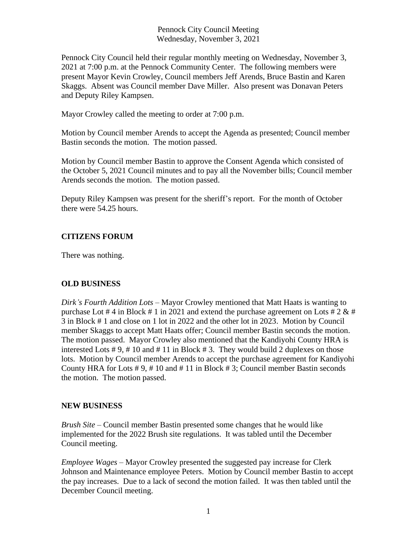Pennock City Council Meeting Wednesday, November 3, 2021

Pennock City Council held their regular monthly meeting on Wednesday, November 3, 2021 at 7:00 p.m. at the Pennock Community Center. The following members were present Mayor Kevin Crowley, Council members Jeff Arends, Bruce Bastin and Karen Skaggs. Absent was Council member Dave Miller. Also present was Donavan Peters and Deputy Riley Kampsen.

Mayor Crowley called the meeting to order at 7:00 p.m.

Motion by Council member Arends to accept the Agenda as presented; Council member Bastin seconds the motion. The motion passed.

Motion by Council member Bastin to approve the Consent Agenda which consisted of the October 5, 2021 Council minutes and to pay all the November bills; Council member Arends seconds the motion. The motion passed.

Deputy Riley Kampsen was present for the sheriff's report. For the month of October there were 54.25 hours.

## **CITIZENS FORUM**

There was nothing.

## **OLD BUSINESS**

*Dirk's Fourth Addition Lots* – Mayor Crowley mentioned that Matt Haats is wanting to purchase Lot # 4 in Block # 1 in 2021 and extend the purchase agreement on Lots # 2  $\&$  # 3 in Block # 1 and close on 1 lot in 2022 and the other lot in 2023. Motion by Council member Skaggs to accept Matt Haats offer; Council member Bastin seconds the motion. The motion passed. Mayor Crowley also mentioned that the Kandiyohi County HRA is interested Lots  $\# 9$ ,  $\# 10$  and  $\# 11$  in Block  $\# 3$ . They would build 2 duplexes on those lots. Motion by Council member Arends to accept the purchase agreement for Kandiyohi County HRA for Lots # 9, # 10 and # 11 in Block # 3; Council member Bastin seconds the motion. The motion passed.

## **NEW BUSINESS**

*Brush Site –* Council member Bastin presented some changes that he would like implemented for the 2022 Brush site regulations. It was tabled until the December Council meeting.

*Employee Wages –* Mayor Crowley presented the suggested pay increase for Clerk Johnson and Maintenance employee Peters. Motion by Council member Bastin to accept the pay increases. Due to a lack of second the motion failed. It was then tabled until the December Council meeting.